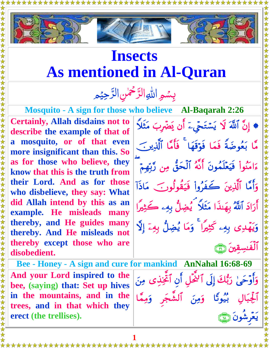

## **Insects As mentioned in Al-Quran**

## بِسْمِ اللهِ الرَّحْمٰنِ الرَّحِيْمِ  $\tilde{a}$ ر<br>ب ا رّ<br>\_  $\frac{1}{2}$ بِسُمِرِ اللهِ الرَّحْمٰنِ الرَّ ر<br>ر

**Certainly, Allah disdains not to describe the example of that of a mosquito, or of that even more insignificant than this. So as for those who believe, they know that this is the truth from their Lord. And as for those who disbelieve, they say: What did Allah intend by this as an example. He misleads many thereby, and He guides many thereby. And He misleads not thereby except those who are disobedient.**

**Mosquito - A sign for those who believe Al-Baqarah 2:26** ♦ إِنَّ ٱللَّهَ لَا يَسْتَحَّىءَ أَن يَضَّرِبَ مَثَلاً مَّا بَعُوضَةً فَمَا فَوَقِّهَا ۖ فَأَمَّا ٱلَّذِينَ ۖ ءَامَنُواْ فَيَعْلَمُونَ أَنَّهُ ٱلْحَقَّ مِن رَّبِّهِمْ وَأَمَّا ٱلَّذِينَ كَفَرُواْ فَيَقُولُوبَ مَاذَاْ آرَادَ ٱللَّهُ بِهَنَّذَا مَثَلًا ۖ يُضِلُّ بِهِۦ كَثِيرًا وَيَهْدِي بِهِۦ كَثِيرًا ۖ وَمَا يُضِلُّ بِهِۦٓ إِلَّا الفسقين (٢٦

**Bee - Honey - A sign and cure for mankind AnNahal 16:68-69**

**And your Lord inspired to the bee, (saying) that: Set up hives in the mountains, and in the trees, and in that which they erect (the trellises).**

وَأَوْحَىٰ رَبُّكَ إِلَى ٱلْمَحْلِ أَنِ ٱخْتِذْيٍ مِنَ أَلْجِبَالٍ بَيُوتًا وَمِنَ ٱلشَّجَرِ وَمِمَّا يُعْرِشُونَ (١١

**1**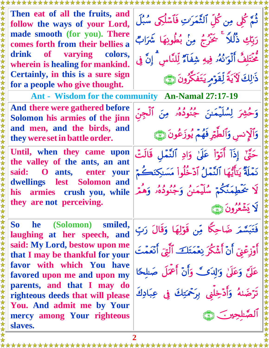**Then eat of all the fruits, and follow the ways of your Lord, made smooth (for you). There comes forth from their bellies a drink of varying colors, wherein is healing for mankind. Certainly, in this is a sure sign for a people who give thought.**

**And there were gathered before Solomon his armies of the jinn and men, and the birds, and they were setin battle order.**  $\overline{\mathbf{r}}$ 

**Until, when they came upon the valley of the ants, an ant said: O ants, enter your dwellings lest Solomon and his armies crush you, while they are not perceiving.**

**So he (Solomon) smiled, laughing at her speech, and said: My Lord, bestow upon me that I may be thankful for your favor with which You have favored upon me and upon my parents, and that I may do righteous deeds that will please You. And admit me by Your mercy among Your righteous slaves.**

ثَمَّ كُلِّي مِن كُلِّ ٱلشَّمَرَ'تِ فَأَسْلَكِي سُبُلَ رَبِّكِ ذَلَّلاً ۚ يَحْزُجُ مِنْ بُطُونِهَا شَرَابٌ مَحْتَلِفَ ٱلْوَ'نَهُۥ فِيهِ شِفَأَءٌ لِلنَّاسِ ۚ إِنَّ فِي دْ لِكَ لَأَيَةُ لِقَوْمِ يَتَفَكَّرُونَ إِنَّ يَ

**Ant - Wisdom for the community An-Namal 27:17-19**

وَحَشِرَ لِسُلَيمَينَ جَنُودُهُ مِنَ ٱلْجِنّ وَٱلاِنسِ وَٱلْطِيْرِ فَهُمْ يُوزَعُونَ ۞ حَيٌّ إِذَآ أَتَوۡأَ عَلَىٰ وَادِ ٱلنَّمَلِ قَالَتَّ

نَمَّلَةً يَتَأَيُّهَا ٱلنَّمَلُ آدَخَلُواْ مَسَنِكِنَكَمْ لَا يُحْطِمَنَّكُمْ سُلِيمَيْنُ وَجُنُودُهُ وَهِمْ لَا يَشْعُرُونَ ۞

فَتَبَسَّمَرَ ضَاحِكًا مِّن قَوْلِهَا وَقَالَ رَبّ أَوْزِعْنَيْ أَنْ أَشْكُرَ نِعْمَتَكَ ۚ أَلَٰٓيَ أَنْعَمَتَ عَلَّىَّ وَعَلَّىٰ وَ'لِدَى ۗ وَأَنَّ أَعْمَلَ صَلَّحًا تْرْضَىٰهُ وَأَدْخِلْنِي بِرَحْمَتِكَ فِي عِبَادِكَ الصّلحين هي

\*\*\*\*\*\*\*\*\*\*\*\*\*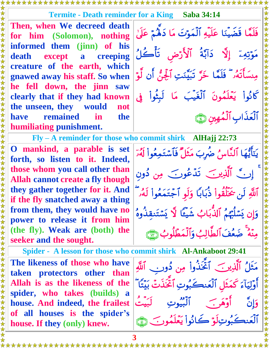## **Termite - Death reminder for a King Saba 34:14**

**Then, when We decreed death for him (Solomon), nothing informed them (jinn) of his death except a creeping creature of the earth, which gnawed away his staff. So when he fell down, the jinn saw clearly that if they had known the unseen, they would not have remained in the humiliating punishment.**

**O mankind, a parable is set forth, so listen to it. Indeed, those whom you call other than Allah cannot create a fly though they gather together for it. And if the fly snatched away a thing from them, they would have no power to release it from him (the fly). Weak are (both) the seeker and the sought.**

**Spider - A lesson for those who commit shirk Al-Ankaboot 29:41 The likeness of those who have taken protectors other than Allah is as the likeness of the spider, who takes (builds) a house. And indeed, the frailest of all houses is the spider's house. If they (only) knew.**

\*\*\*\*\*\*\*

j فَلَمَّا قَضَيْنَا عَلَيْهِ ٱلْمَوْتَ مَا دَهْمٌ عَلَىٰ مَوْتِهِۦٓ إِلَّا ۗ ذَابَّةَ ٱلْأَرْضَ تَأْكُلُ مِنسَأَتَهُۥ ۖ فَلَمَّا ۖ خَرَّ تَبَيَّنَتِ أَلْجِنَّ أَن لَوْ كَانُواْ يَعْلَمُونَ ٱلْغَيْبَ مَا لَبِثْواْ فِي العذاب المهين (٢٦

**Fly – A reminder for those who commit shirk AlHajj 22:73**

يَتَأَيُّهَا ٱلنَّاسُ ضَرِبَ مَثِلٌ فَأَسْتَمِعُواْ لَهُوٓ إِنَّ ٱلَّذِينَ تَدْعُونَ مِن دُونِ أَلَلَّهِ لَن يُخَلَّقُواْ ذَبَابًا وَلَّوِ أَجْتَمَعُواْ لَهُۥ وَإِن يَسْلَيْهِمُ ٱلْذِبَابُ شَيْئًا لَا يَسْتَنقذُوهُ مِنَّهُ ۖ ضَعُفَ الْطَالِبُ وَالْمَطَّلُوبُ رَبِّيَّ

مَثْلُ ٱلَّذِينَ ۖ ٱتَّحْذُواْ مِن دُورِ بِ ٱللَّهِ أَوْلِيَآءَ كَمَثْلِ ٱلْعَنڪِبُوتِ ٱتَّخَذْتُ بَيْتَا وَإِنَّ أَوْهَرٍ ۖ الْبُيُوتِ لَبَيتَ الْعَنْڪِبُوتِ لَوْ ڪَانُواْ يَعْلَمُونَ ۚ (َ ﴾ [

\*\*\*\*\*\*\*\*\*\*\*\*\*\*\*\*\*\*\*\*\*\*\*